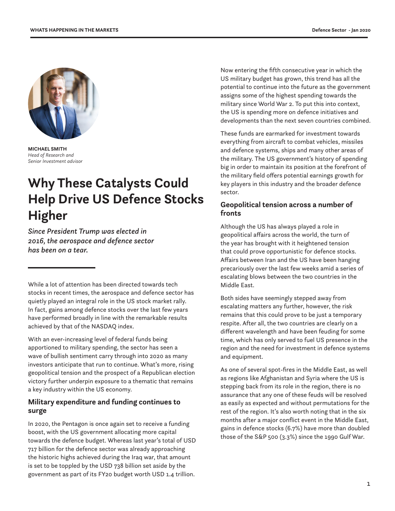

**MICHAEL SMITH** *Head of Research and Senior Investment advisor*

# **Why These Catalysts Could Help Drive US Defence Stocks Higher**

*Since President Trump was elected in 2016, the aerospace and defence sector has been on a tear.* 

While a lot of attention has been directed towards tech stocks in recent times, the aerospace and defence sector has quietly played an integral role in the US stock market rally. In fact, gains among defence stocks over the last few years have performed broadly in line with the remarkable results achieved by that of the NASDAQ index.

With an ever-increasing level of federal funds being apportioned to military spending, the sector has seen a wave of bullish sentiment carry through into 2020 as many investors anticipate that run to continue. What's more, rising geopolitical tension and the prospect of a Republican election victory further underpin exposure to a thematic that remains a key industry within the US economy.

# **Military expenditure and funding continues to surge**

In 2020, the Pentagon is once again set to receive a funding boost, with the US government allocating more capital towards the defence budget. Whereas last year's total of USD 717 billion for the defence sector was already approaching the historic highs achieved during the Iraq war, that amount is set to be toppled by the USD 738 billion set aside by the government as part of its FY20 budget worth USD 1.4 trillion.

Now entering the fifth consecutive year in which the US military budget has grown, this trend has all the potential to continue into the future as the government assigns some of the highest spending towards the military since World War 2. To put this into context, the US is spending more on defence initiatives and developments than the next seven countries combined.

These funds are earmarked for investment towards everything from aircraft to combat vehicles, missiles and defence systems, ships and many other areas of the military. The US government's history of spending big in order to maintain its position at the forefront of the military field offers potential earnings growth for key players in this industry and the broader defence sector.

## **Geopolitical tension across a number of fronts**

Although the US has always played a role in geopolitical affairs across the world, the turn of the year has brought with it heightened tension that could prove opportunistic for defence stocks. Affairs between Iran and the US have been hanging precariously over the last few weeks amid a series of escalating blows between the two countries in the Middle East.

Both sides have seemingly stepped away from escalating matters any further, however, the risk remains that this could prove to be just a temporary respite. After all, the two countries are clearly on a different wavelength and have been feuding for some time, which has only served to fuel US presence in the region and the need for investment in defence systems and equipment.

As one of several spot-fires in the Middle East, as well as regions like Afghanistan and Syria where the US is stepping back from its role in the region, there is no assurance that any one of these feuds will be resolved as easily as expected and without permutations for the rest of the region. It's also worth noting that in the six months after a major conflict event in the Middle East, gains in defence stocks (6.7%) have more than doubled those of the S&P 500 (3.3%) since the 1990 Gulf War.